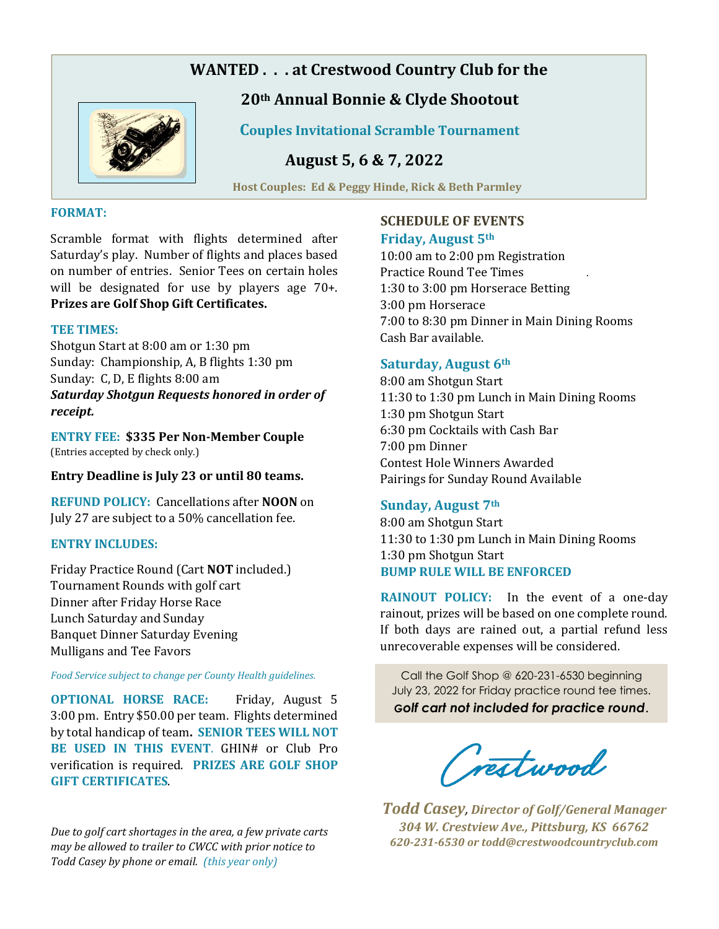# **WANTED . . . at Crestwood Country Club for the**



## **20th Annual Bonnie & Clyde Shootout**

 **Couples Invitational Scramble Tournament** 

 **August 5, 6 & 7, 2022** 

 **Host Couples: Ed & Peggy Hinde, Rick & Beth Parmley** 

#### **FORMAT:**

Scramble format with flights determined after Saturday's play. Number of flights and places based on number of entries. Senior Tees on certain holes will be designated for use by players age 70+. **Prizes are Golf Shop Gift Certificates.**

#### **TEE TIMES:**

Shotgun Start at 8:00 am or 1:30 pm Sunday: Championship, A, B flights 1:30 pm Sunday: C, D, E flights 8:00 am *Saturday Shotgun Requests honored in order of receipt.* 

**ENTRY FEE: \$335 Per Non-Member Couple**  (Entries accepted by check only.)

**Entry Deadline is July 23 or until 80 teams.** 

**REFUND POLICY:** Cancellations after **NOON** on July 27 are subject to a 50% cancellation fee.

### **ENTRY INCLUDES:**

Friday Practice Round (Cart **NOT** included.) Tournament Rounds with golf cart Dinner after Friday Horse Race Lunch Saturday and Sunday Banquet Dinner Saturday Evening Mulligans and Tee Favors

*Food Service subject to change per County Health guidelines.* 

**OPTIONAL HORSE RACE:** Friday, August 5 3:00 pm. Entry \$50.00 per team. Flights determined by total handicap of team**. SENIOR TEES WILL NOT BE USED IN THIS EVENT**. GHIN# or Club Pro verification is required. **PRIZES ARE GOLF SHOP GIFT CERTIFICATES**.

*Due to golf cart shortages in the area, a few private carts may be allowed to trailer to CWCC with prior notice to Todd Casey by phone or email. (this year only)*

### **SCHEDULE OF EVENTS**

### **Friday, August 5th**

10:00 am to 2:00 pm Registration Practice Round Tee Times . 1:30 to 3:00 pm Horserace Betting 3:00 pm Horserace 7:00 to 8:30 pm Dinner in Main Dining Rooms Cash Bar available.

### **Saturday, August 6th**

8:00 am Shotgun Start 11:30 to 1:30 pm Lunch in Main Dining Rooms 1:30 pm Shotgun Start 6:30 pm Cocktails with Cash Bar 7:00 pm Dinner Contest Hole Winners Awarded Pairings for Sunday Round Available

### **Sunday, August 7th**

8:00 am Shotgun Start 11:30 to 1:30 pm Lunch in Main Dining Rooms 1:30 pm Shotgun Start **BUMP RULE WILL BE ENFORCED**

**RAINOUT POLICY:** In the event of a one-day rainout, prizes will be based on one complete round. If both days are rained out, a partial refund less unrecoverable expenses will be considered.

Call the Golf Shop @ 620-231-6530 beginning July 23, 2022 for Friday practice round tee times. *Golf cart not included for practice round*.

(restwood

*Todd Casey, Director of Golf/General Manager 304 W. Crestview Ave., Pittsburg, KS 66762 620-231-6530 or todd@crestwoodcountryclub.com*